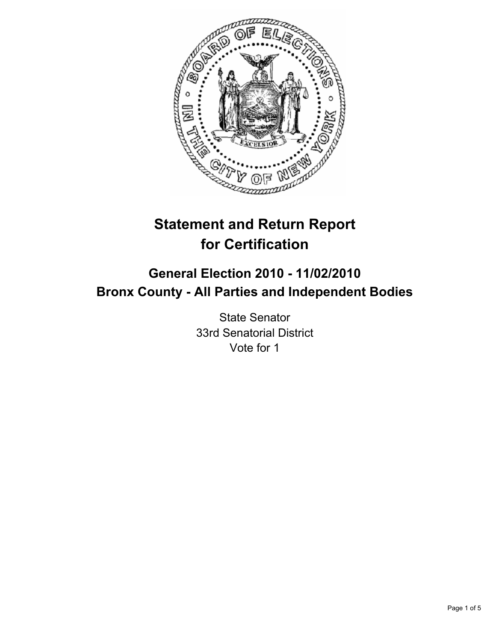

# **Statement and Return Report for Certification**

## **General Election 2010 - 11/02/2010 Bronx County - All Parties and Independent Bodies**

State Senator 33rd Senatorial District Vote for 1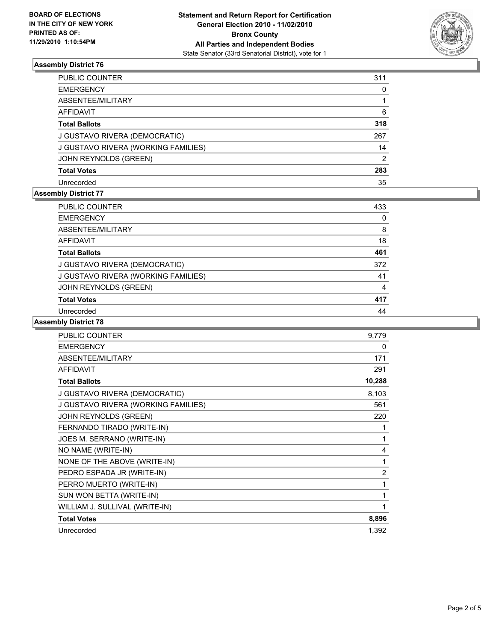

#### **Assembly District 76**

| PUBLIC COUNTER                      | 311 |
|-------------------------------------|-----|
| EMERGENCY                           | 0   |
| ABSENTEE/MILITARY                   |     |
| AFFIDAVIT                           | 6   |
| <b>Total Ballots</b>                | 318 |
| J GUSTAVO RIVERA (DEMOCRATIC)       | 267 |
| J GUSTAVO RIVERA (WORKING FAMILIES) | 14  |
| JOHN REYNOLDS (GREEN)               | 2   |
| <b>Total Votes</b>                  | 283 |
| Unrecorded                          | 35  |

#### **Assembly District 77**

| PUBLIC COUNTER                      | 433 |
|-------------------------------------|-----|
| <b>EMERGENCY</b>                    | 0   |
|                                     |     |
| ABSENTEE/MILITARY                   | 8   |
| <b>AFFIDAVIT</b>                    | 18  |
| <b>Total Ballots</b>                | 461 |
| J GUSTAVO RIVERA (DEMOCRATIC)       | 372 |
| J GUSTAVO RIVERA (WORKING FAMILIES) | 41  |
| JOHN REYNOLDS (GREEN)               | 4   |
| <b>Total Votes</b>                  | 417 |
| Unrecorded                          | 44  |

#### **Assembly District 78**

| <b>PUBLIC COUNTER</b>               | 9,779          |
|-------------------------------------|----------------|
| <b>EMERGENCY</b>                    | 0              |
| ABSENTEE/MILITARY                   | 171            |
| <b>AFFIDAVIT</b>                    | 291            |
| <b>Total Ballots</b>                | 10,288         |
| J GUSTAVO RIVERA (DEMOCRATIC)       | 8,103          |
| J GUSTAVO RIVERA (WORKING FAMILIES) | 561            |
| JOHN REYNOLDS (GREEN)               | 220            |
| FERNANDO TIRADO (WRITE-IN)          | 1              |
| JOES M. SERRANO (WRITE-IN)          | 1              |
| NO NAME (WRITE-IN)                  | 4              |
| NONE OF THE ABOVE (WRITE-IN)        | 1              |
| PEDRO ESPADA JR (WRITE-IN)          | $\overline{2}$ |
| PERRO MUERTO (WRITE-IN)             | 1              |
| SUN WON BETTA (WRITE-IN)            | 1              |
| WILLIAM J. SULLIVAL (WRITE-IN)      | 1              |
| <b>Total Votes</b>                  | 8,896          |
| Unrecorded                          | 1,392          |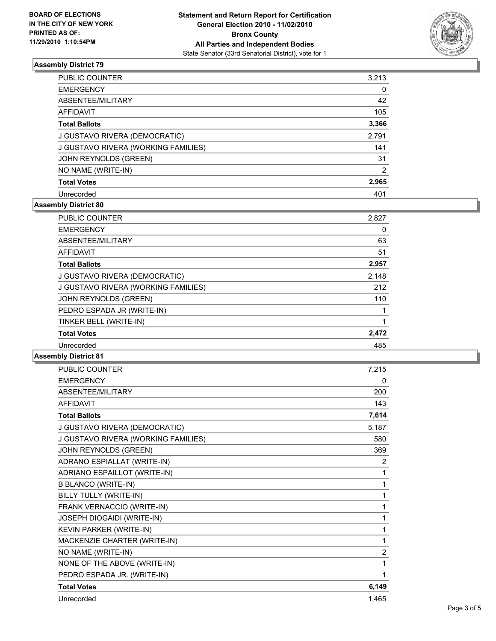

#### **Assembly District 79**

| PUBLIC COUNTER                      | 3,213 |
|-------------------------------------|-------|
| <b>EMERGENCY</b>                    | 0     |
| ABSENTEE/MILITARY                   | 42    |
| AFFIDAVIT                           | 105   |
| <b>Total Ballots</b>                | 3,366 |
| J GUSTAVO RIVERA (DEMOCRATIC)       | 2,791 |
| J GUSTAVO RIVERA (WORKING FAMILIES) | 141   |
| JOHN REYNOLDS (GREEN)               | 31    |
| NO NAME (WRITE-IN)                  | 2     |
| <b>Total Votes</b>                  | 2,965 |
| Unrecorded                          | 401   |

### **Assembly District 80**

| <b>PUBLIC COUNTER</b>               | 2,827 |
|-------------------------------------|-------|
| <b>EMERGENCY</b>                    | 0     |
| ABSENTEE/MILITARY                   | 63    |
| <b>AFFIDAVIT</b>                    | 51    |
| <b>Total Ballots</b>                | 2,957 |
| J GUSTAVO RIVERA (DEMOCRATIC)       | 2,148 |
| J GUSTAVO RIVERA (WORKING FAMILIES) | 212   |
| JOHN REYNOLDS (GREEN)               | 110   |
| PEDRO ESPADA JR (WRITE-IN)          |       |
| TINKER BELL (WRITE-IN)              |       |
| <b>Total Votes</b>                  | 2,472 |
| Unrecorded                          | 485   |

#### **Assembly District 81**

| <b>PUBLIC COUNTER</b>               | 7,215 |
|-------------------------------------|-------|
| <b>EMERGENCY</b>                    | 0     |
| ABSENTEE/MILITARY                   | 200   |
| <b>AFFIDAVIT</b>                    | 143   |
| <b>Total Ballots</b>                | 7,614 |
| J GUSTAVO RIVERA (DEMOCRATIC)       | 5,187 |
| J GUSTAVO RIVERA (WORKING FAMILIES) | 580   |
| JOHN REYNOLDS (GREEN)               | 369   |
| ADRANO ESPIALLAT (WRITE-IN)         | 2     |
| ADRIANO ESPAILLOT (WRITE-IN)        | 1     |
| <b>B BLANCO (WRITE-IN)</b>          | 1     |
| BILLY TULLY (WRITE-IN)              | 1     |
| FRANK VERNACCIO (WRITE-IN)          | 1     |
| JOSEPH DIOGAIDI (WRITE-IN)          | 1     |
| KEVIN PARKER (WRITE-IN)             | 1     |
| MACKENZIE CHARTER (WRITE-IN)        | 1     |
| NO NAME (WRITE-IN)                  | 2     |
| NONE OF THE ABOVE (WRITE-IN)        | 1     |
| PEDRO ESPADA JR. (WRITE-IN)         | 1     |
| <b>Total Votes</b>                  | 6,149 |
| Unrecorded                          | 1,465 |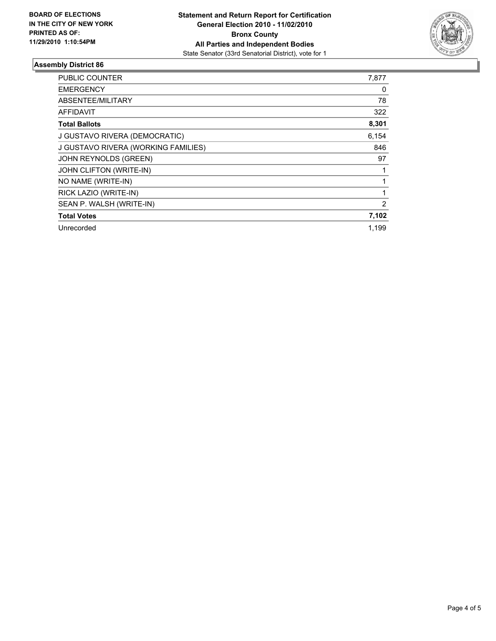

#### **Assembly District 86**

| PUBLIC COUNTER                      | 7,877 |
|-------------------------------------|-------|
| <b>EMERGENCY</b>                    | 0     |
| ABSENTEE/MILITARY                   | 78    |
| <b>AFFIDAVIT</b>                    | 322   |
| <b>Total Ballots</b>                | 8,301 |
| J GUSTAVO RIVERA (DEMOCRATIC)       | 6,154 |
| J GUSTAVO RIVERA (WORKING FAMILIES) | 846   |
| JOHN REYNOLDS (GREEN)               | 97    |
| JOHN CLIFTON (WRITE-IN)             | 1     |
| NO NAME (WRITE-IN)                  |       |
| RICK LAZIO (WRITE-IN)               | 1     |
| SEAN P. WALSH (WRITE-IN)            | 2     |
| <b>Total Votes</b>                  | 7,102 |
| Unrecorded                          | 1,199 |